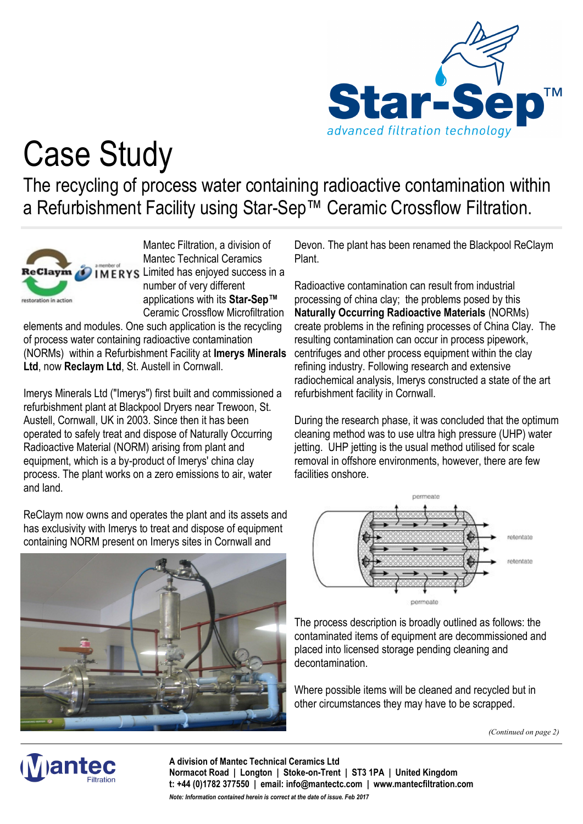

## Case Study

The recycling of process water containing radioactive contamination within a Refurbishment Facility using Star-Sep™ Ceramic Crossflow Filtration.



Mantec Filtration, a division of Mantec Technical Ceramics **IMERYS** Limited has enjoyed success in a number of very different applications with its **Star-Sep™**  Ceramic Crossflow Microfiltration

elements and modules. One such application is the recycling of process water containing radioactive contamination (NORMs) within a Refurbishment Facility at **Imerys Minerals Ltd**, now **Reclaym Ltd**, St. Austell in Cornwall.

Imerys Minerals Ltd ("Imerys") first built and commissioned a refurbishment plant at Blackpool Dryers near Trewoon, St. Austell, Cornwall, UK in 2003. Since then it has been operated to safely treat and dispose of Naturally Occurring Radioactive Material (NORM) arising from plant and equipment, which is a by-product of Imerys' china clay process. The plant works on a zero emissions to air, water and land.

ReClaym now owns and operates the plant and its assets and has exclusivity with Imerys to treat and dispose of equipment containing NORM present on Imerys sites in Cornwall and



Devon. The plant has been renamed the Blackpool ReClaym Plant.

Radioactive contamination can result from industrial processing of china clay; the problems posed by this **Naturally Occurring Radioactive Materials** (NORMs) create problems in the refining processes of China Clay. The resulting contamination can occur in process pipework, centrifuges and other process equipment within the clay refining industry. Following research and extensive radiochemical analysis, Imerys constructed a state of the art refurbishment facility in Cornwall.

During the research phase, it was concluded that the optimum cleaning method was to use ultra high pressure (UHP) water jetting. UHP jetting is the usual method utilised for scale removal in offshore environments, however, there are few facilities onshore.



The process description is broadly outlined as follows: the contaminated items of equipment are decommissioned and placed into licensed storage pending cleaning and decontamination.

Where possible items will be cleaned and recycled but in other circumstances they may have to be scrapped.

*(Continued on page 2)*



**A division of Mantec Technical Ceramics Ltd Normacot Road | Longton | Stoke-on-Trent | ST3 1PA | United Kingdom t: +44 (0)1782 377550 | email: info@mantectc.com | www.mantecfiltration.com** *Note: Information contained herein is correct at the date of issue. Feb 2017*